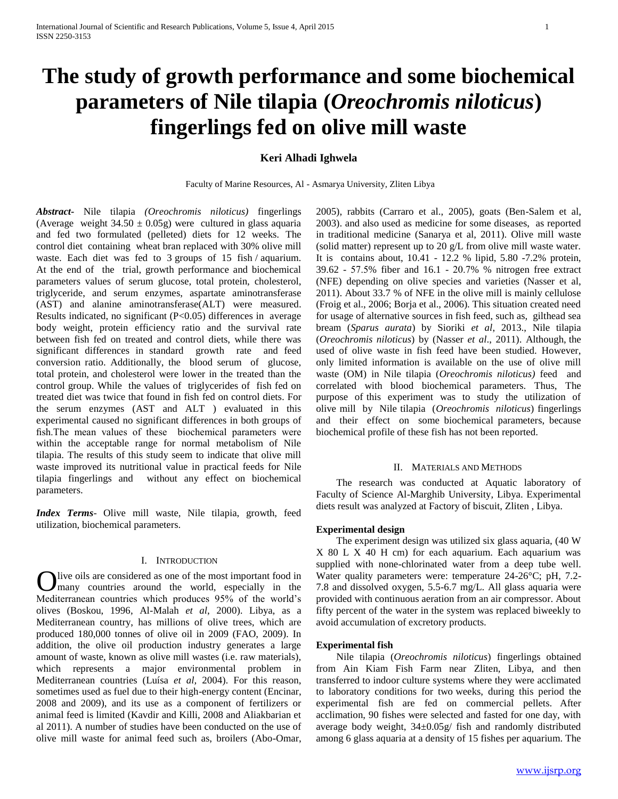# **The study of growth performance and some biochemical parameters of Nile tilapia (***Oreochromis niloticus***) fingerlings fed on olive mill waste**

# **Keri Alhadi Ighwela**

Faculty of Marine Resources, Al - Asmarya University, Zliten Libya

*Abstract***-** Nile tilapia *(Oreochromis niloticus)* fingerlings (Average weight  $34.50 \pm 0.05$ g) were cultured in glass aquaria and fed two formulated (pelleted) diets for 12 weeks. The control diet containing wheat bran replaced with 30% olive mill waste. Each diet was fed to 3 groups of 15 fish / aquarium. At the end of the trial, growth performance and biochemical parameters values of serum glucose, total protein, cholesterol, triglyceride, and serum enzymes, aspartate aminotransferase (AST) and alanine aminotransferase(ALT) were measured. Results indicated, no significant (P<0.05) differences in average body weight, protein efficiency ratio and the survival rate between fish fed on treated and control diets, while there was significant differences in standard growth rate and feed conversion ratio. Additionally, the blood serum of glucose, total protein, and cholesterol were lower in the treated than the control group. While the values of triglycerides of fish fed on treated diet was twice that found in fish fed on control diets. For the serum enzymes (AST and ALT ) evaluated in this experimental caused no significant differences in both groups of fish.The mean values of these biochemical parameters were within the acceptable range for normal metabolism of Nile tilapia. The results of this study seem to indicate that olive mill waste improved its nutritional value in practical feeds for Nile tilapia fingerlings and without any effect on biochemical parameters.

*Index Terms*- Olive mill waste, Nile tilapia, growth, feed utilization, biochemical parameters.

# I. INTRODUCTION

live oils are considered as one of the most important food in Olive oils are considered as one of the most important food in<br>
Numany countries around the world, especially in the Mediterranean countries which produces 95% of the world's olives (Boskou, 1996, Al-Malah *et al*, 2000). Libya, as a Mediterranean country, has millions of olive trees, which are produced 180,000 tonnes of olive oil in 2009 (FAO, 2009). In addition, the olive oil production industry generates a large amount of waste, known as olive mill wastes (i.e. raw materials), which represents a major environmental problem in Mediterranean countries (Luísa *et al,* 2004). For this reason, sometimes used as fuel due to their high-energy content (Encinar, 2008 and 2009), and its use as a component of fertilizers or animal feed is limited (Kavdir and Killi, 2008 and Aliakbarian et al 2011). A number of studies have been conducted on the use of olive mill waste for animal feed such as, broilers (Abo-Omar,

2005), rabbits (Carraro et al., 2005), goats (Ben-Salem et al, 2003). and also used as medicine for some diseases, as reported in traditional medicine (Sanarya et al, 2011). Olive mill waste (solid matter) represent up to 20 g/L from olive mill waste water. It is contains about, 10.41 - 12.2 % lipid, 5.80 -7.2% protein, 39.62 - 57.5% fiber and 16.1 - 20.7% % nitrogen free extract (NFE) depending on olive species and varieties (Nasser et al, 2011). About 33.7 % of NFE in the olive mill is mainly cellulose (Froig et al., 2006; Borja et al., 2006). This situation created need for usage of alternative sources in fish feed, such as, gilthead sea bream (*Sparus aurata*) by Sioriki *et al*, 2013., Nile tilapia (*Oreochromis niloticus*) by (Nasser *et al*., 2011). Although, the used of olive waste in fish feed have been studied. However, only limited information is available on the use of olive mill waste (OM) in Nile tilapia (*Oreochromis niloticus)* feed and correlated with blood biochemical parameters. Thus, The purpose of this experiment was to study the utilization of olive mill by Nile tilapia (*Oreochromis niloticus*) fingerlings and their effect on some biochemical parameters, because biochemical profile of these fish has not been reported.

## II. MATERIALS AND METHODS

 The research was conducted at Aquatic laboratory of Faculty of Science Al-Marghib University, Libya. Experimental diets result was analyzed at Factory of biscuit, Zliten , Libya.

#### **Experimental design**

 The experiment design was utilized six glass aquaria, (40 W X 80 L X 40 H cm) for each aquarium. Each aquarium was supplied with none-chlorinated water from a deep tube well. Water quality parameters were: temperature 24-26°C; pH, 7.2- 7.8 and dissolved oxygen, 5.5-6.7 mg/L. All glass aquaria were provided with continuous aeration from an air compressor. About fifty percent of the water in the system was replaced biweekly to avoid accumulation of excretory products.

## **Experimental fish**

 Nile tilapia (*Oreochromis niloticus*) fingerlings obtained from Ain Kiam Fish Farm near Zliten, Libya, and then transferred to indoor culture systems where they were acclimated to laboratory conditions for two weeks, during this period the experimental fish are fed on commercial pellets. After acclimation, 90 fishes were selected and fasted for one day, with average body weight,  $34\pm0.05g$  fish and randomly distributed among 6 glass aquaria at a density of 15 fishes per aquarium. The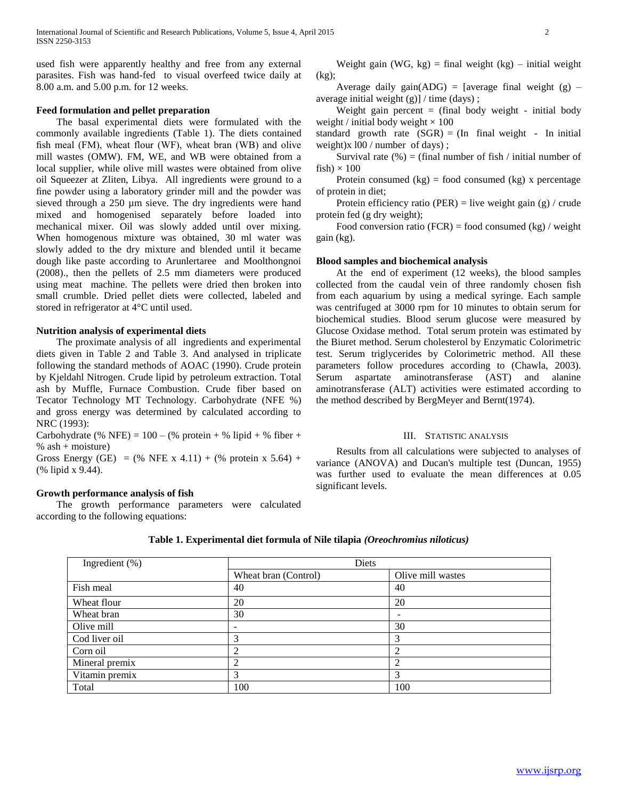used fish were apparently healthy and free from any external parasites. Fish was hand-fed to visual overfeed twice daily at 8.00 a.m. and 5.00 p.m. for 12 weeks.

# **Feed formulation and pellet preparation**

 The basal experimental diets were formulated with the commonly available ingredients (Table 1). The diets contained fish meal (FM), wheat flour (WF), wheat bran (WB) and olive mill wastes (OMW). FM, WE, and WB were obtained from a local supplier, while olive mill wastes were obtained from olive oil Squeezer at Zliten, Libya. All ingredients were ground to a fine powder using a laboratory grinder mill and the powder was sieved through a 250 µm sieve. The dry ingredients were hand mixed and homogenised separately before loaded into mechanical mixer. Oil was slowly added until over mixing. When homogenous mixture was obtained, 30 ml water was slowly added to the dry mixture and blended until it became dough like paste according to Arunlertaree and Moolthongnoi (2008)., then the pellets of 2.5 mm diameters were produced using meat machine. The pellets were dried then broken into small crumble. Dried pellet diets were collected, labeled and stored in refrigerator at 4°C until used.

# **Nutrition analysis of experimental diets**

 The proximate analysis of all ingredients and experimental diets given in Table 2 and Table 3. And analysed in triplicate following the standard methods of AOAC (1990). Crude protein by Kjeldahl Nitrogen. Crude lipid by petroleum extraction. Total ash by Muffle, Furnace Combustion. Crude fiber based on Tecator Technology MT Technology. Carbohydrate (NFE %) and gross energy was determined by calculated according to NRC (1993):

Carbohydrate (% NFE) =  $100 - ($ % protein + % lipid + % fiber + % ash  $+$  moisture)

Gross Energy (GE) = (% NFE x 4.11) + (% protein x 5.64) + (% lipid x 9.44).

# **Growth performance analysis of fish**

 The growth performance parameters were calculated according to the following equations:

Weight gain (WG,  $kg$ ) = final weight (kg) – initial weight (kg);

Average daily gain(ADG) = [average final weight  $(g)$  – average initial weight (g)] / time (days) ;

Weight gain percent  $=$  (final body weight - initial body weight / initial body weight  $\times 100$ 

standard growth rate  $(SGR) = (In final weight - In initial)$ weight)x l00 / number of days) ;

Survival rate  $(\%)$  = (final number of fish / initial number of fish)  $\times$  100

Protein consumed  $(kg)$  = food consumed  $(kg)$  x percentage of protein in diet;

Protein efficiency ratio (PER) = live weight gain (g) / crude protein fed (g dry weight);

Food conversion ratio (FCR) = food consumed (kg) / weight gain (kg).

#### **Blood samples and biochemical analysis**

 At the end of experiment (12 weeks), the blood samples collected from the caudal vein of three randomly chosen fish from each aquarium by using a medical syringe. Each sample was centrifuged at 3000 rpm for 10 minutes to obtain serum for biochemical studies. Blood serum glucose were measured by Glucose Oxidase method. Total serum protein was estimated by the Biuret method. Serum cholesterol by Enzymatic Colorimetric test. Serum triglycerides by Colorimetric method. All these parameters follow procedures according to (Chawla, 2003). Serum aspartate aminotransferase (AST) and alanine aminotransferase (ALT) activities were estimated according to the method described by BergMeyer and Bernt(1974).

# III. STATISTIC ANALYSIS

 Results from all calculations were subjected to analyses of variance (ANOVA) and Ducan's multiple test (Duncan, 1955) was further used to evaluate the mean differences at 0.05 significant levels.

| Table 1. Experimental diet formula of Nile tilapia (Oreochromius niloticus) |  |
|-----------------------------------------------------------------------------|--|
|-----------------------------------------------------------------------------|--|

| Ingredient (%) | Diets                |                   |
|----------------|----------------------|-------------------|
|                | Wheat bran (Control) | Olive mill wastes |
| Fish meal      | 40                   | 40                |
| Wheat flour    | 20                   | 20                |
| Wheat bran     | 30                   |                   |
| Olive mill     | -                    | 30                |
| Cod liver oil  | 3                    | 3                 |
| Corn oil       | 2                    | ↑                 |
| Mineral premix | 2                    | ↑                 |
| Vitamin premix | 3                    | 3                 |
| Total          | 100                  | 100               |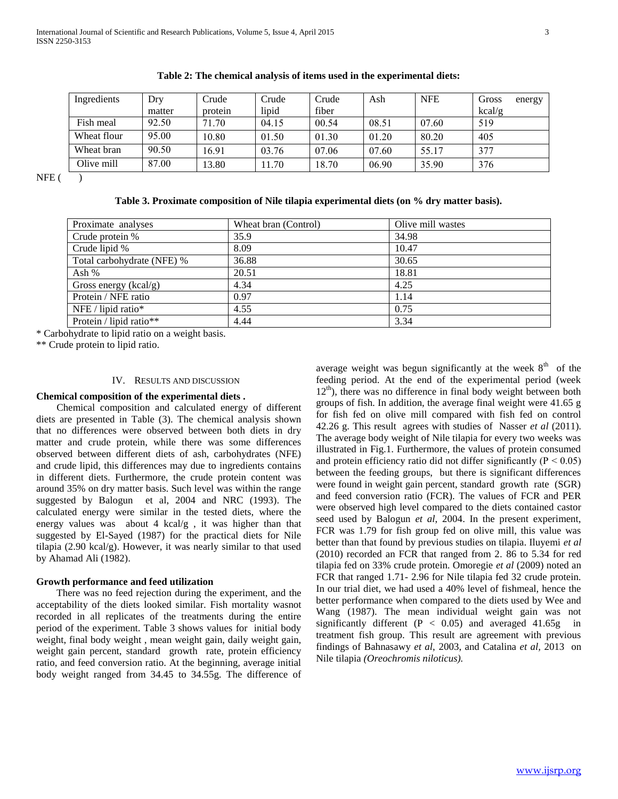| Ingredients | Dry    | Crude   | Crude | Crude | Ash   | <b>NFE</b> | Gross<br>energy |
|-------------|--------|---------|-------|-------|-------|------------|-----------------|
|             | matter | protein | lipid | fiber |       |            | kcal/g          |
| Fish meal   | 92.50  | 71.70   | 04.15 | 00.54 | 08.51 | 07.60      | 519             |
| Wheat flour | 95.00  | 10.80   | 01.50 | 01.30 | 01.20 | 80.20      | 405             |
| Wheat bran  | 90.50  | 16.91   | 03.76 | 07.06 | 07.60 | 55.17      | 377             |
| Olive mill  | 87.00  | 13.80   | 1.70  | 18.70 | 06.90 | 35.90      | 376             |

**Table 2: The chemical analysis of items used in the experimental diets:**

 $NFE$  ( )

**Table 3. Proximate composition of Nile tilapia experimental diets (on % dry matter basis).**

| Proximate analyses         | Wheat bran (Control) | Olive mill wastes |
|----------------------------|----------------------|-------------------|
| Crude protein %            | 35.9                 | 34.98             |
| Crude lipid %              | 8.09                 | 10.47             |
| Total carbohydrate (NFE) % | 36.88                | 30.65             |
| Ash $%$                    | 20.51                | 18.81             |
| Gross energy $(kcal/g)$    | 4.34                 | 4.25              |
| Protein / NFE ratio        | 0.97                 | 1.14              |
| NFE / lipid ratio*         | 4.55                 | 0.75              |
| Protein / lipid ratio**    | 4.44                 | 3.34              |

\* Carbohydrate to lipid ratio on a weight basis.

\*\* Crude protein to lipid ratio.

## IV. RESULTS AND DISCUSSION

# **Chemical composition of the experimental diets .**

 Chemical composition and calculated energy of different diets are presented in Table (3). The chemical analysis shown that no differences were observed between both diets in dry matter and crude protein, while there was some differences observed between different diets of ash, carbohydrates (NFE) and crude lipid, this differences may due to ingredients contains in different diets. Furthermore, the crude protein content was around 35% on dry matter basis. Such level was within the range suggested by Balogun et al, 2004 and NRC (1993). The calculated energy were similar in the tested diets, where the energy values was about 4 kcal/g , it was higher than that suggested by El-Sayed (1987) for the practical diets for Nile tilapia (2.90 kcal/g). However, it was nearly similar to that used by Ahamad Ali (1982).

# **Growth performance and feed utilization**

 There was no feed rejection during the experiment, and the acceptability of the diets looked similar. Fish mortality wasnot recorded in all replicates of the treatments during the entire period of the experiment. Table 3 shows values for initial body weight, final body weight , mean weight gain, daily weight gain, weight gain percent, standard growth rate, protein efficiency ratio, and feed conversion ratio. At the beginning, average initial body weight ranged from 34.45 to 34.55g. The difference of

average weight was begun significantly at the week  $8<sup>th</sup>$  of the feeding period. At the end of the experimental period (week  $12<sup>th</sup>$ ), there was no difference in final body weight between both groups of fish. In addition, the average final weight were 41.65 g for fish fed on olive mill compared with fish fed on control 42.26 g. This result agrees with studies of Nasser *et al* (2011). The average body weight of Nile tilapia for every two weeks was illustrated in Fig.1. Furthermore, the values of protein consumed and protein efficiency ratio did not differ significantly ( $P < 0.05$ ) between the feeding groups, but there is significant differences were found in weight gain percent, standard growth rate (SGR) and feed conversion ratio (FCR). The values of FCR and PER were observed high level compared to the diets contained castor seed used by Balogun *et al*, 2004. In the present experiment, FCR was 1.79 for fish group fed on olive mill, this value was better than that found by previous studies on tilapia. Iluyemi *et al* (2010) recorded an FCR that ranged from 2. 86 to 5.34 for red tilapia fed on 33% crude protein. Omoregie *et al* (2009) noted an FCR that ranged 1.71- 2.96 for Nile tilapia fed 32 crude protein. In our trial diet, we had used a 40% level of fishmeal, hence the better performance when compared to the diets used by Wee and Wang (1987). The mean individual weight gain was not significantly different ( $P < 0.05$ ) and averaged 41.65g in treatment fish group. This result are agreement with previous findings of Bahnasawy *et al*, 2003, and Catalina *et al,* 2013 on Nile tilapia *(Oreochromis niloticus).*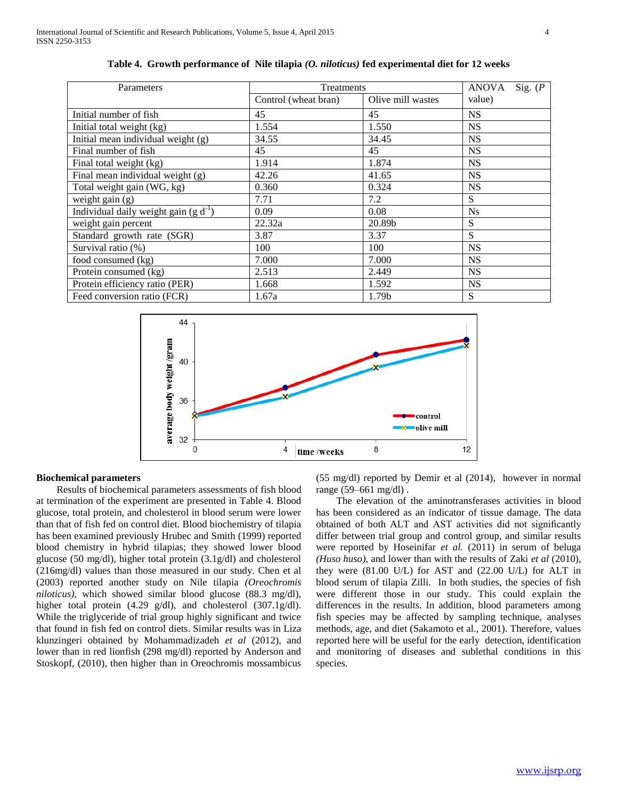| Parameters                                | Treatments           | <b>ANOVA</b><br>Sig. $(P)$ |           |
|-------------------------------------------|----------------------|----------------------------|-----------|
|                                           | Control (wheat bran) | Olive mill wastes          | value)    |
| Initial number of fish                    | 45                   | 45                         | <b>NS</b> |
| Initial total weight (kg)                 | 1.554                | 1.550                      | <b>NS</b> |
| Initial mean individual weight $(g)$      | 34.55                | 34.45                      | <b>NS</b> |
| Final number of fish                      | 45                   | 45                         | <b>NS</b> |
| Final total weight (kg)                   | 1.914                | 1.874                      | <b>NS</b> |
| Final mean individual weight $(g)$        | 42.26                | 41.65                      | <b>NS</b> |
| Total weight gain (WG, kg)                | 0.360                | 0.324                      | <b>NS</b> |
| weight gain $(g)$                         | 7.71                 | 7.2                        | S         |
| Individual daily weight gain $(g d^{-1})$ | 0.09                 | 0.08                       | <b>Ns</b> |
| weight gain percent                       | 22.32a               | 20.89b                     | S         |
| Standard growth rate (SGR)                | 3.87                 | 3.37                       | S         |
| Survival ratio (%)                        | 100                  | 100                        | <b>NS</b> |
| food consumed (kg)                        | 7.000                | 7.000                      | <b>NS</b> |
| Protein consumed (kg)                     | 2.513                | 2.449                      | <b>NS</b> |
| Protein efficiency ratio (PER)            | 1.668                | 1.592                      | <b>NS</b> |
| Feed conversion ratio (FCR)               | 1.67a                | 1.79b                      | S         |

**Table 4. Growth performance of Nile tilapia** *(O. niloticus)* **fed experimental diet for 12 weeks**



## **Biochemical parameters**

 Results of biochemical parameters assessments of fish blood at termination of the experiment are presented in Table 4. Blood glucose, total protein, and cholesterol in blood serum were lower than that of fish fed on control diet. Blood biochemistry of tilapia has been examined previously Hrubec and Smith (1999) reported blood chemistry in hybrid tilapias; they showed lower blood glucose (50 mg/dl), higher total protein (3.1g/dl) and cholesterol (216mg/dl) values than those measured in our study. Chen et al (2003) reported another study on Nile tilapia *(Oreochromis niloticus),* which showed similar blood glucose (88.3 mg/dl), higher total protein (4.29 g/dl), and cholesterol (307.1g/dl). While the triglyceride of trial group highly significant and twice that found in fish fed on control diets. Similar results was in Liza klunzingeri obtained by Mohammadizadeh *et al* (2012), and lower than in red lionfish (298 mg/dl) reported by Anderson and Stoskopf, (2010), then higher than in Oreochromis mossambicus

(55 mg/dl) reported by Demir et al (2014), however in normal range (59–661 mg/dl) .

 The elevation of the aminotransferases activities in blood has been considered as an indicator of tissue damage. The data obtained of both ALT and AST activities did not significantly differ between trial group and control group, and similar results were reported by Hoseinifar *et al.* (2011) in serum of beluga *(Huso huso),* and lower than with the results of Zaki *et al* (2010), they were (81.00 U/L) for AST and (22.00 U/L) for ALT in blood serum of tilapia Zilli. In both studies, the species of fish were different those in our study. This could explain the differences in the results. In addition, blood parameters among fish species may be affected by sampling technique, analyses methods, age, and diet (Sakamoto et al., 2001). Therefore, values reported here will be useful for the early detection, identification and monitoring of diseases and sublethal conditions in this species.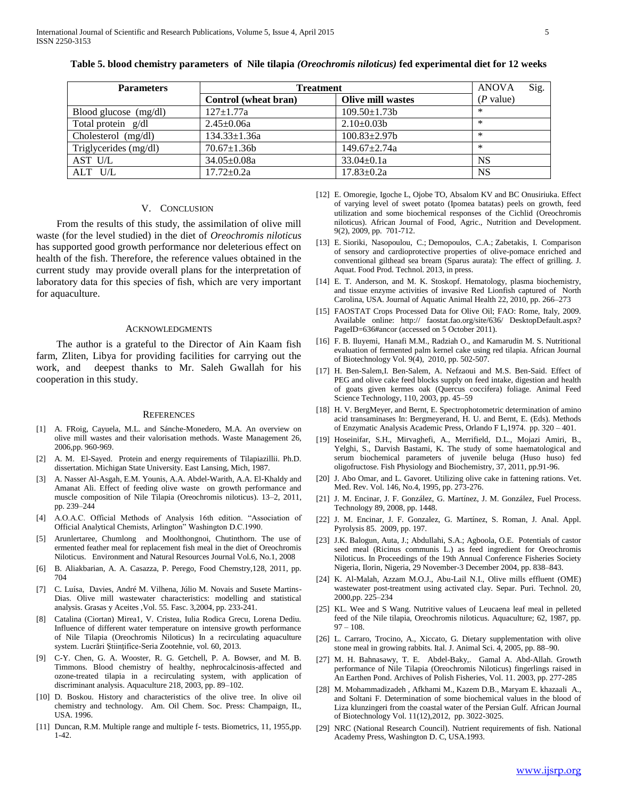| <b>Parameters</b>     | <b>Treatment</b>     |                          | <b>ANOVA</b> | Sig. |
|-----------------------|----------------------|--------------------------|--------------|------|
|                       | Control (wheat bran) | <b>Olive mill wastes</b> | $(P$ value)  |      |
| Blood glucose (mg/dl) | $127 \pm 1.77a$      | $109.50 \pm 1.73b$       | $\ast$       |      |
| Total protein g/dl    | $2.45 \pm 0.06a$     | $2.10\pm0.03b$           | $\ast$       |      |
| Cholesterol $(mg/dl)$ | $134.33 \pm 1.36a$   | $100.83 \pm 2.97b$       | $\ast$       |      |
| Triglycerides (mg/dl) | $70.67 \pm 1.36b$    | $149.67 + 2.74a$         | $\ast$       |      |
| AST U/L               | $34.05 \pm 0.08a$    | $33.04 \pm 0.1a$         | <b>NS</b>    |      |
| ALT U/L               | $17.72 \pm 0.2a$     | $17.83 \pm 0.2a$         | <b>NS</b>    |      |

**Table 5. blood chemistry parameters of Nile tilapia** *(Oreochromis niloticus)* **fed experimental diet for 12 weeks**

#### V. CONCLUSION

 From the results of this study, the assimilation of olive mill waste (for the level studied) in the diet of *Oreochromis niloticus* has supported good growth performance nor deleterious effect on health of the fish. Therefore, the reference values obtained in the current study may provide overall plans for the interpretation of laboratory data for this species of fish, which are very important for aquaculture.

#### ACKNOWLEDGMENTS

 The author is a grateful to the Director of Ain Kaam fish farm, Zliten, Libya for providing facilities for carrying out the work, and deepest thanks to Mr. Saleh Gwallah for his cooperation in this study.

#### **REFERENCES**

- [1] A. FRoig, Cayuela, M.L. and Sánche-Monedero, M.A. An overview on olive mill wastes and their valorisation methods. Waste Management 26, 2006,pp. 960-969.
- [2] A. M. El-Sayed. Protein and energy requirements of Tilapiazillii. Ph.D. dissertation. Michigan State University. East Lansing, Mich, 1987.
- [3] A. Nasser Al-Asgah, E.M. Younis, A.A. Abdel-Warith, A.A. El-Khaldy and Amanat Ali. Effect of feeding olive waste on growth performance and muscle composition of Nile Tilapia (Oreochromis niloticus). 13–2, 2011, pp. 239–244
- [4] A.O.A.C. Official Methods of Analysis 16th edition. "Association of Official Analytical Chemists, Arlington" Washington D.C.1990.
- [5] Arunlertaree, Chumlong and Moolthongnoi, Chutinthorn. The use of ermented feather meal for replacement fish meal in the diet of Oreochromis Niloticus. Environment and Natural Resources Journal Vol.6, No.1, 2008
- [6] B. Aliakbarian, A. A. Casazza, P. Perego, Food Chemstry,128, 2011, pp. 704
- [7] C. Luísa, Davies, André M. Vilhena, Júlio M. Novais and Susete Martins-Dias. Olive mill wastewater characteristics: modelling and statistical analysis. Grasas y Aceites ,Vol. 55. Fasc. 3,2004, pp. 233-241.
- [8] Catalina (Ciortan) Mirea1, V. Cristea, Iulia Rodica Grecu, Lorena Dediu. Influence of different water temperature on intensive growth performance of Nile Tilapia (Oreochromis Niloticus) In a recirculating aquaculture system. Lucrări Ştiinţifice-Seria Zootehnie, vol. 60, 2013.
- [9] C-Y. Chen, G. A. Wooster, R. G. Getchell, P. A. Bowser, and M. B. Timmons. Blood chemistry of healthy, nephrocalcinosis-affected and ozone-treated tilapia in a recirculating system, with application of discriminant analysis. Aquaculture 218, 2003, pp. 89–102.
- [10] D. Boskou. History and characteristics of the olive tree. In olive oil chemistry and technology. Am. Oil Chem. Soc. Press: Champaign, IL, USA. 1996.
- [11] Duncan, R.M. Multiple range and multiple f- tests. Biometrics, 11, 1955,pp. 1-42.
- [12] E. Omoregie, Igoche L, Ojobe TO, Absalom KV and BC Onusiriuka. Effect of varying level of sweet potato (Ipomea batatas) peels on growth, feed utilization and some biochemical responses of the Cichlid (Oreochromis niloticus). African Journal of Food, Agric., Nutrition and Development. 9(2), 2009, pp. 701-712.
- [13] E. Sioriki, Nasopoulou, C.; Demopoulos, C.A.; Zabetakis, I. Comparison of sensory and cardioprotective properties of olive-pomace enriched and conventional gilthead sea bream (Sparus aurata): The effect of grilling. J. Aquat. Food Prod. Technol. 2013, in press.
- [14] E. T. Anderson, and M. K. Stoskopf. Hematology, plasma biochemistry, and tissue enzyme activities of invasive Red Lionfish captured of North Carolina, USA. Journal of Aquatic Animal Health 22, 2010, pp. 266–273
- [15] FAOSTAT Crops Processed Data for Olive Oil; FAO: Rome, Italy, 2009. Available online: http:// faostat.fao.org/site/636/ DesktopDefault.aspx? PageID=636#ancor (accessed on 5 October 2011).
- [16] F. B. Iluyemi, Hanafi M.M., Radziah O., and Kamarudin M. S. Nutritional evaluation of fermented palm kernel cake using red tilapia. African Journal of Biotechnology Vol. 9(4), 2010, pp. 502-507.
- [17] H. Ben-Salem, I. Ben-Salem, A. Nefzaoui and M.S. Ben-Said. Effect of PEG and olive cake feed blocks supply on feed intake, digestion and health of goats given kermes oak (Quercus coccifera) foliage. Animal Feed Science Technology, 110, 2003, pp. 45–59
- [18] H. V. BergMeyer, and Bernt, E. Spectrophotometric determination of amino acid transaminases In: Bergmeyerand, H. U. and Bernt, E. (Eds). Methods of Enzymatic Analysis Academic Press, Orlando F L,1974. pp. 320 – 401.
- [19] Hoseinifar, S.H., Mirvaghefi, A., Merrifield, D.L., Mojazi Amiri, B., Yelghi, S., Darvish Bastami, K. The study of some haematological and serum biochemical parameters of juvenile beluga (Huso huso) fed oligofructose. Fish Physiology and Biochemistry, 37, 2011, pp.91-96.
- [20] J. Abo Omar, and L. Gavoret. Utilizing olive cake in fattening rations. Vet. Med. Rev. Vol. 146, No.4, 1995, pp. 273-276.
- [21] J. M. Encinar, J. F. González, G. Martínez, J. M. González, Fuel Process. Technology 89, 2008, pp. 1448.
- [22] J. M. Encinar, J. F. Gonzalez, G. Martínez, S. Roman, J. Anal. Appl. Pyrolysis 85. 2009, pp. 197.
- [23] J.K. Balogun, Auta, J.; Abdullahi, S.A.; Agboola, O.E. Potentials of castor seed meal (Ricinus communis L.) as feed ingredient for Oreochromis Niloticus. In Proceedings of the 19th Annual Conference Fisheries Society Nigeria, Ilorin, Nigeria, 29 November-3 December 2004, pp. 838–843.
- [24] K. Al-Malah, Azzam M.O.J., Abu-Lail N.I., Olive mills effluent (OME) wastewater post-treatment using activated clay. Separ. Puri. Technol. 20, 2000,pp. 225–234
- [25] KL. Wee and S Wang. Nutritive values of Leucaena leaf meal in pelleted feed of the Nile tilapia, Oreochromis niloticus. Aquaculture; 62, 1987, pp.  $97 - 108$ .
- [26] L. Carraro, Trocino, A., Xiccato, G. Dietary supplementation with olive stone meal in growing rabbits. Ital. J. Animal Sci. 4, 2005, pp. 88–90.
- [27] M. H. Bahnasawy, T. E. Abdel-Baky,. Gamal A. Abd-Allah. Growth performance of Nile Tilapia (Oreochromis Niloticus) fingerlings raised in An Earthen Pond. Archives of Polish Fisheries, Vol. 11. 2003, pp. 277-285
- [28] M. Mohammadizadeh , Afkhami M., Kazem D.B., Maryam E. khazaali A., and Soltani F. Determination of some biochemical values in the blood of Liza klunzingeri from the coastal water of the Persian Gulf. African Journal of Biotechnology Vol. 11(12),2012, pp. 3022-3025.
- [29] NRC (National Research Council). Nutrient requirements of fish. National Academy Press, Washington D. C, USA.1993.